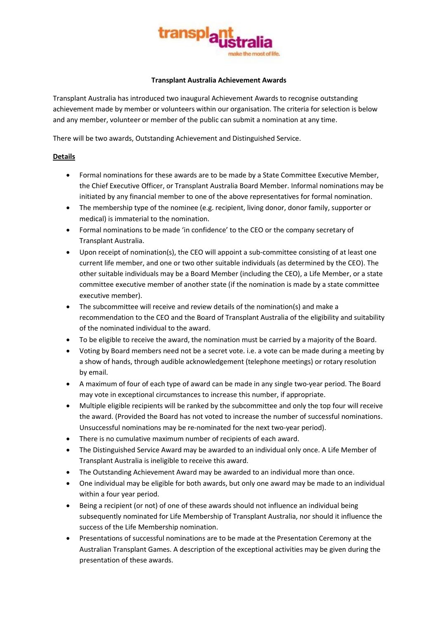

## **Transplant Australia Achievement Awards**

Transplant Australia has introduced two inaugural Achievement Awards to recognise outstanding achievement made by member or volunteers within our organisation. The criteria for selection is below and any member, volunteer or member of the public can submit a nomination at any time.

There will be two awards, Outstanding Achievement and Distinguished Service.

# **Details**

- Formal nominations for these awards are to be made by a State Committee Executive Member, the Chief Executive Officer, or Transplant Australia Board Member. Informal nominations may be initiated by any financial member to one of the above representatives for formal nomination.
- The membership type of the nominee (e.g. recipient, living donor, donor family, supporter or medical) is immaterial to the nomination.
- Formal nominations to be made 'in confidence' to the CEO or the company secretary of Transplant Australia.
- Upon receipt of nomination(s), the CEO will appoint a sub-committee consisting of at least one current life member, and one or two other suitable individuals (as determined by the CEO). The other suitable individuals may be a Board Member (including the CEO), a Life Member, or a state committee executive member of another state (if the nomination is made by a state committee executive member).
- The subcommittee will receive and review details of the nomination(s) and make a recommendation to the CEO and the Board of Transplant Australia of the eligibility and suitability of the nominated individual to the award.
- To be eligible to receive the award, the nomination must be carried by a majority of the Board.
- Voting by Board members need not be a secret vote. i.e. a vote can be made during a meeting by a show of hands, through audible acknowledgement (telephone meetings) or rotary resolution by email.
- A maximum of four of each type of award can be made in any single two-year period. The Board may vote in exceptional circumstances to increase this number, if appropriate.
- Multiple eligible recipients will be ranked by the subcommittee and only the top four will receive the award. (Provided the Board has not voted to increase the number of successful nominations. Unsuccessful nominations may be re-nominated for the next two-year period).
- There is no cumulative maximum number of recipients of each award.
- The Distinguished Service Award may be awarded to an individual only once. A Life Member of Transplant Australia is ineligible to receive this award.
- The Outstanding Achievement Award may be awarded to an individual more than once.
- One individual may be eligible for both awards, but only one award may be made to an individual within a four year period.
- Being a recipient (or not) of one of these awards should not influence an individual being subsequently nominated for Life Membership of Transplant Australia, nor should it influence the success of the Life Membership nomination.
- Presentations of successful nominations are to be made at the Presentation Ceremony at the Australian Transplant Games. A description of the exceptional activities may be given during the presentation of these awards.